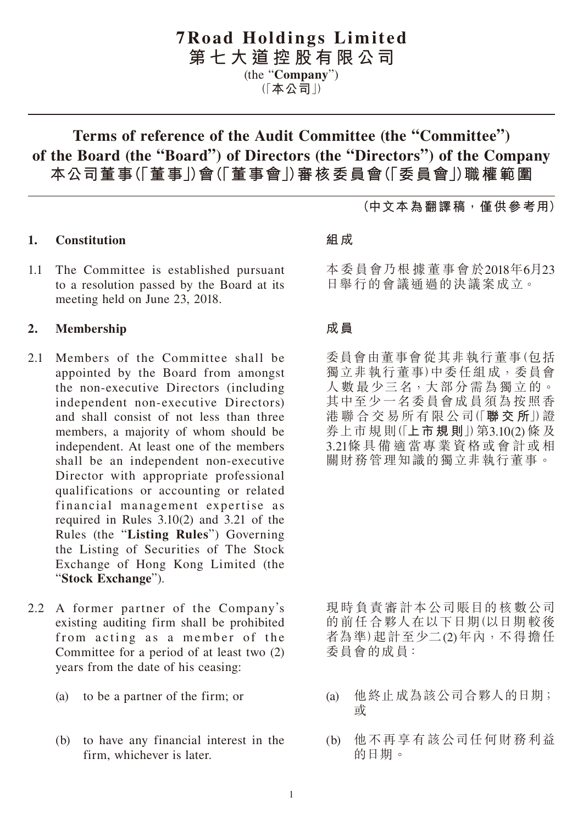# **7Road Holdings Limited**

**第七大道控股有限公司**

(the "**Company**")

(「**本公司**」)

# **Terms of reference of the Audit Committee (the "Committee") of the Board (the "Board") of Directors (the "Directors") of the Company 本公司董事(「董事」)會(「董事會」)審核委員會(「委員會」)職權範圍**

## **1. Constitution**

1.1 The Committee is established pursuant to a resolution passed by the Board at its meeting held on June 23, 2018.

#### **2. Membership**

- 2.1 Members of the Committee shall be appointed by the Board from amongst the non-executive Directors (including independent non-executive Directors) and shall consist of not less than three members, a majority of whom should be independent. At least one of the members shall be an independent non-executive Director with appropriate professional qualifications or accounting or related financial management expertise as required in Rules 3.10(2) and 3.21 of the Rules (the "**Listing Rules**") Governing the Listing of Securities of The Stock Exchange of Hong Kong Limited (the "**Stock Exchange**").
- 2.2 A former partner of the Company's existing auditing firm shall be prohibited from acting as a member of the Committee for a period of at least two (2) years from the date of his ceasing:
	- (a) to be a partner of the firm; or
	- (b) to have any financial interest in the firm, whichever is later.

#### **組成**

本委員會乃根據董事會於2018年6月23 日舉行的會議通過的決議案成立。

**(中文本為翻譯稿,僅供參考用)**

#### **成員**

委員會由董事會從其非執行董事(包括 獨立非執行董事)中委任組成,委員會 人數最少三名,大部分需為獨立的。 其中至少一名委員會成員須為按照香 港 聯 合 交 易所 有 限 公司(「**聯交所**」)證 券上市規 則(「**上市規則**」)第3.10(2) 條 及 3.21條具備適當專業資格或會計或相 關財務管理知識的獨立非執行董事。

現時負責審計本公司賬目的核數公司 的前任 合夥人在以下日期(以日期較後 者為準)起計至少二(2)年內,不得擔任 委員會的成員:

- (a) 他終止成為該公司合夥人的日期; 或
- (b) 他不再享有該公司任何財務利益 的日期。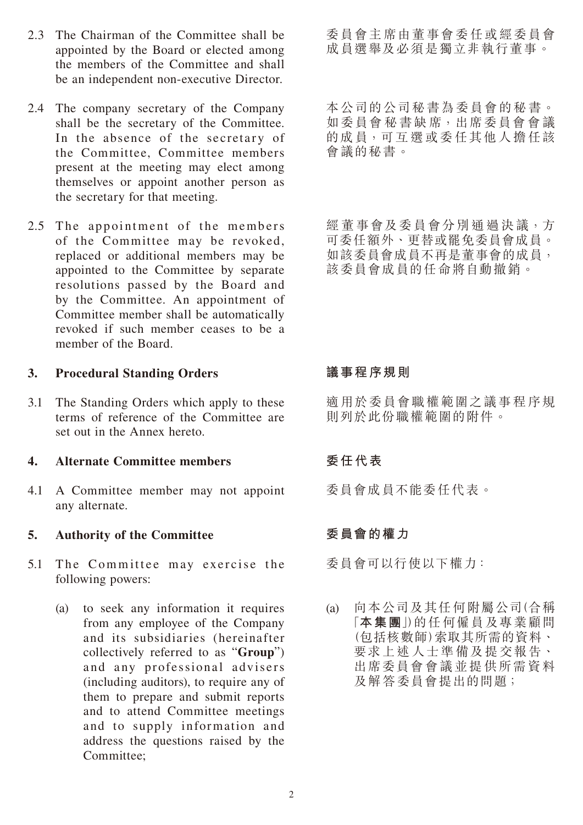- 2.3 The Chairman of the Committee shall be appointed by the Board or elected among the members of the Committee and shall be an independent non-executive Director.
- 2.4 The company secretary of the Company shall be the secretary of the Committee. In the absence of the secretary of the Committee, Committee members present at the meeting may elect among themselves or appoint another person as the secretary for that meeting.
- 2.5 The appointment of the members of the Committee may be revoked, replaced or additional members may be appointed to the Committee by separate resolutions passed by the Board and by the Committee. An appointment of Committee member shall be automatically revoked if such member ceases to be a member of the Board.

#### **3. Procedural Standing Orders**

3.1 The Standing Orders which apply to these terms of reference of the Committee are set out in the Annex hereto.

#### **4. Alternate Committee members**

4.1 A Committee member may not appoint any alternate.

#### **5. Authority of the Committee**

- 5.1 The Committee may exercise the following powers:
	- (a) to seek any information it requires from any employee of the Company and its subsidiaries (hereinafter collectively referred to as "**Group**") and any professional advisers (including auditors), to require any of them to prepare and submit reports and to attend Committee meetings and to supply information and address the questions raised by the Committee;

委員會主席由董事會委任或經委員會 成員選舉及必須是獨立非執行董事。

本公司的公司秘書為委員會的秘書。 如委員會 秘 書缺 席,出席委員會 會議 的成員,可互選或委任其他人擔任該 會議的秘書。

經 董事會及委員會分別通過決議,方 可委任額外、更替或罷免委員會成員。 如該委員會成員不再是董事會的成員, 該委員會成員的任命將自動撤銷。

## **議事程序規則**

適用於委員會職權範圍之議事程序規 則列於此份職權範圍的附件。

## **委任代表**

委員會成員不能委任代表。

## **委員會的權力**

委員會可以行使以下權力:

(a) 向本公司及其任何附屬公司(合稱 「**本集團**」)的任何僱員及專業顧問 (包括核數師)索取其所需的資料、 要求上述人士準備及提交報告、 出席委員會會議並提供所需資料 及解答委員會提出的問題;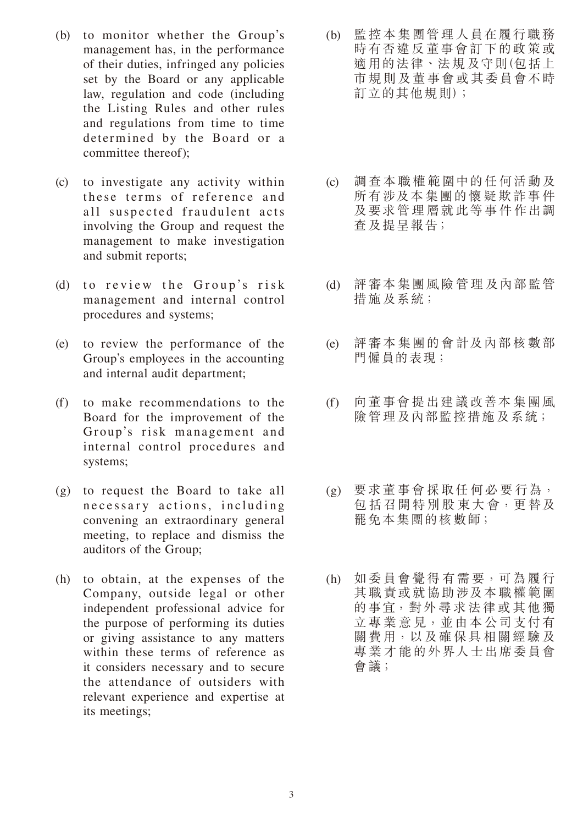- (b) to monitor whether the Group's management has, in the performance of their duties, infringed any policies set by the Board or any applicable law, regulation and code (including the Listing Rules and other rules and regulations from time to time determined by the Board or a committee thereof);
- (c) to investigate any activity within these terms of reference and all suspected fraudulent acts involving the Group and request the management to make investigation and submit reports;
- (d) to review the Group's risk management and internal control procedures and systems;
- (e) to review the performance of the Group's employees in the accounting and internal audit department;
- (f) to make recommendations to the Board for the improvement of the Group's risk management and internal control procedures and systems;
- (g) to request the Board to take all necessary actions, including convening an extraordinary general meeting, to replace and dismiss the auditors of the Group;
- (h) to obtain, at the expenses of the Company, outside legal or other independent professional advice for the purpose of performing its duties or giving assistance to any matters within these terms of reference as it considers necessary and to secure the attendance of outsiders with relevant experience and expertise at its meetings;
- (b) 監控本集團管理人員在履行職務 時有否違反董事會訂下的政策或 適用的法律、法規及守則(包括上 市規則及董事會或其委員會不時 訂立的其他規則);
- (c) 調查本職權範圍中的任何活動及 所有涉及本集團的懷疑欺詐事件 及要求管理層就此等事件作出調 查及提呈報告;
- (d) 評審本集團風險管理及內部監管 措施及系統;
- (e) 評審本集團的會計及內部核數部 門僱員的表現;
- (f) 向董事會提出建議改善本集團風 險管理及內部監控措施及系統;
- (g) 要求董事會採取任何必要行為, 包括召開特別股 東大會,更替及 罷免本集團的核數師;
- (h) 如委員會覺得有需要,可為履行 其職責或就協助涉及本職權範圍 的事宜,對外尋求法律或其他獨 立專業意見,並由本公司支付有 關費用,以及確保具相關經驗及 專業才能的外界人士出席委員會 會議;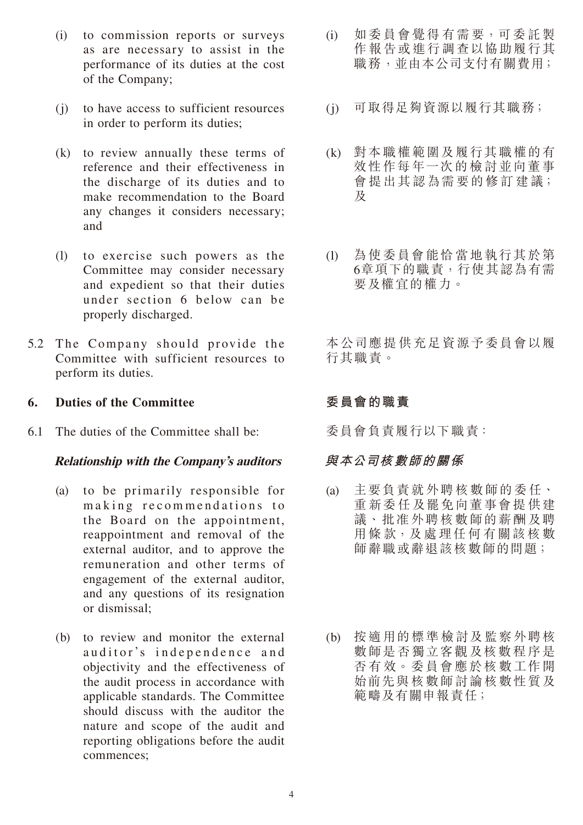- (i) to commission reports or surveys as are necessary to assist in the performance of its duties at the cost of the Company;
- (j) to have access to sufficient resources in order to perform its duties;
- (k) to review annually these terms of reference and their effectiveness in the discharge of its duties and to make recommendation to the Board any changes it considers necessary; and
- (l) to exercise such powers as the Committee may consider necessary and expedient so that their duties under section 6 below can be properly discharged.
- 5.2 The Company should provide the Committee with sufficient resources to perform its duties.

#### **6. Duties of the Committee**

6.1 The duties of the Committee shall be:

#### **Relationship with the Company's auditors**

- (a) to be primarily responsible for making recommendations to the Board on the appointment, reappointment and removal of the external auditor, and to approve the remuneration and other terms of engagement of the external auditor, and any questions of its resignation or dismissal;
- (b) to review and monitor the external auditor's independence and objectivity and the effectiveness of the audit process in accordance with applicable standards. The Committee should discuss with the auditor the nature and scope of the audit and reporting obligations before the audit commences;
- (i) 如委員會覺得有需要,可委託製 作報告或進行調查以協助履行其 職務,並由本公司支付有關費用;
- (j) 可取得足夠資源以履行其職務;
- (k) 對本職權範圍及履行其職權的有 效性作每年一次的檢討並向董事 會提出其認為需要的修訂建議; 及
- (l) 為使委員會能恰當地執行其於第 6章項下的職責,行使其認為有需 要及權宜的權力。

本公司應提供充足資源予委員會以履 行其職責。

#### **委員會的職責**

委員會負責履行以下職責:

#### **與本公司核數師的關係**

- (a) 主要負責就外聘核數師的委任、 重新委任及罷免向董事會提供建 議、批准外聘核數師的薪酬及聘 用條 款,及 處 理任 何 有關該核 數 師辭職或辭退該核數師的問題;
- (b) 按適用的標準檢討及監察外聘核 數師是否獨立客觀及核數程序是 否有 效。委員會應於核 數工作開 始前先與核數師討論核數性質及 範疇及有關申報責任;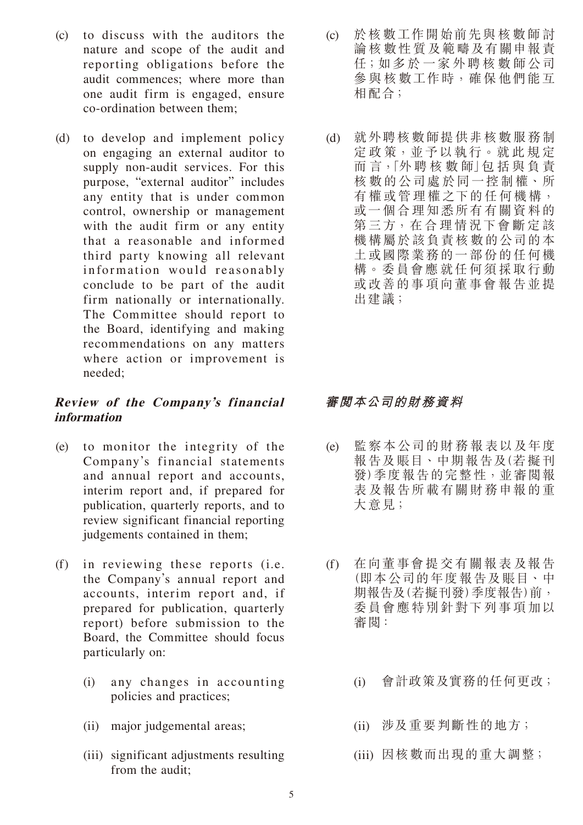- (c) to discuss with the auditors the nature and scope of the audit and reporting obligations before the audit commences; where more than one audit firm is engaged, ensure co-ordination between them;
- (d) to develop and implement policy on engaging an external auditor to supply non-audit services. For this purpose, "external auditor" includes any entity that is under common control, ownership or management with the audit firm or any entity that a reasonable and informed third party knowing all relevant information would reasonably conclude to be part of the audit firm nationally or internationally. The Committee should report to the Board, identifying and making recommendations on any matters where action or improvement is needed;

### **Review of the Company's financial information**

- (e) to monitor the integrity of the Company's financial statements and annual report and accounts, interim report and, if prepared for publication, quarterly reports, and to review significant financial reporting judgements contained in them;
- (f) in reviewing these reports (i.e. the Company's annual report and accounts, interim report and, if prepared for publication, quarterly report) before submission to the Board, the Committee should focus particularly on:
	- (i) any changes in accounting policies and practices;
	- (ii) major judgemental areas;
	- (iii) significant adjustments resulting from the audit;
- (c) 於核數工作開始前先與核數師討 論核數性質及範疇及有關申報責 任;如多於一家外聘核數師公司 參與核數工作時,確保他們能互 相配合;
- (d) 就外聘核數師提供非核數服務制 定政策,並予以執行。就此規定 而 言,「外 聘 核 數 師」包 括 與 負 責 核數的公司處於同一控制權、所 有權或管理權之下的任何機構, 或一個合理知悉所有有關資料的 5、三方,在合理情況下會斷定該 機構屬於該負責核數的公司的本 土或國際業務的一部份的任何機 構。委員會應就任何須採取行動 或改善的事項向董事會報告並提 出建議;

## **審閱本公司的財務資料**

- (e) 監察本公司的財務報表以及年度 報告及賬目、中期報告及(若擬刊 發)季度報告的完整性,並審閱報 表及報告所載有關財務申報的重 大意見;
- (f) 在向董事會提交有關報表及報告 (即本公司的年度報告及賬目、中 期報告及(若擬刊發)季度報告)前, 委員會應特別針對下列事項加以 審閱:
	- (i) 會計政策及實務的任何更改;
	- (ii) 涉及重要判斷性的地方;
	- (iii) 因核數而出現的重大調整;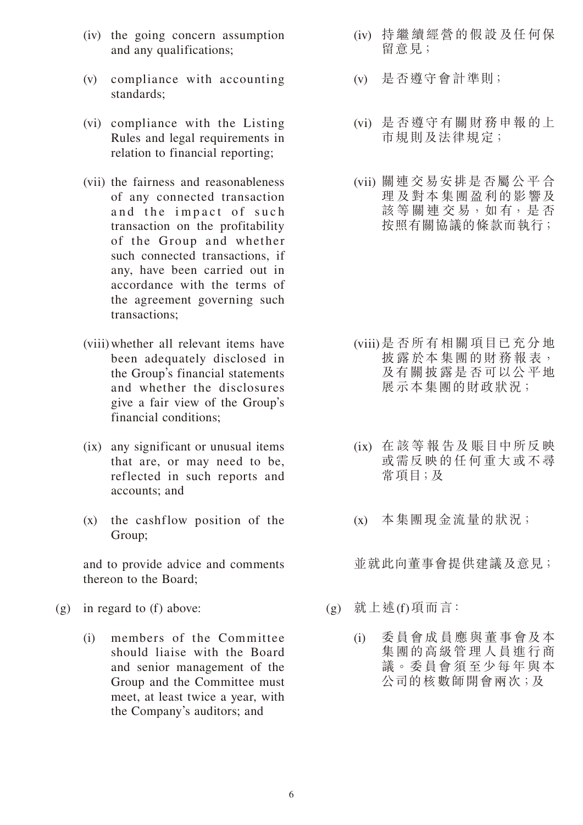- (iv) the going concern assumption and any qualifications;
- (v) compliance with accounting standards;
- (vi) compliance with the Listing Rules and legal requirements in relation to financial reporting;
- (vii) the fairness and reasonableness of any connected transaction and the impact of such transaction on the profitability of the Group and whether such connected transactions, if any, have been carried out in accordance with the terms of the agreement governing such transactions;
- (viii) whether all relevant items have been adequately disclosed in the Group's financial statements and whether the disclosures give a fair view of the Group's financial conditions;
- (ix) any significant or unusual items that are, or may need to be, reflected in such reports and accounts; and
- (x) the cashflow position of the Group;

 and to provide advice and comments thereon to the Board;

- (g) in regard to (f) above:
	- (i) members of the Committee should liaise with the Board and senior management of the Group and the Committee must meet, at least twice a year, with the Company's auditors; and
- (iv) 持繼續經營的假設及任何保 留意見;
- (v) 是否遵守會計準則;
- (vi) 是否遵守有關財務申報的上 市規則及法律規定;
- (vii) 關連交易安排是否屬公平合 理及對本集團盈利的影響及 該 等 關 連 交 易, 如 有, 是 否 按照有關協議的條款而執行;

- (viii) 是否所有相關項目已充分地 披露於本集團的財務報表, 及有關披露是否可以公平地 展示本集團的財政狀況;
- (ix) 在該等報告及賬目中所反映 或需反映的任何重大或不尋 常項目;及
- (x) 本集團現金流量的狀況;

並就此向董事會提供建議及意見;

- (g) 就上述(f)項而言:
	- (i) 委員會成員應與董事會及本 集團的高級管理人員進行商 議。委員會須至少每年與本 公司的核數師開會兩次;及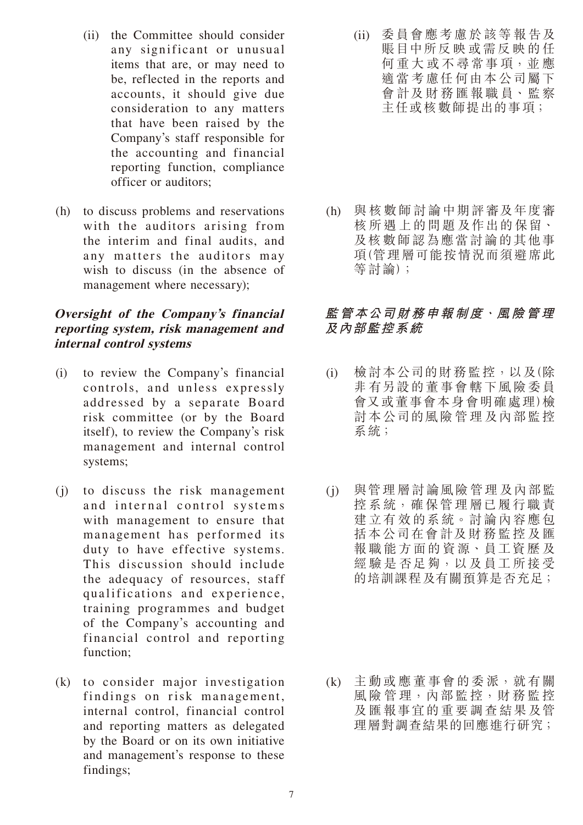- (ii) the Committee should consider any significant or unusual items that are, or may need to be, reflected in the reports and accounts, it should give due consideration to any matters that have been raised by the Company's staff responsible for the accounting and financial reporting function, compliance officer or auditors;
- (h) to discuss problems and reservations with the auditors arising from the interim and final audits, and any matters the auditors may wish to discuss (in the absence of management where necessary);

#### **Oversight of the Company's financial reporting system, risk management and internal control systems**

- (i) to review the Company's financial controls, and unless expressly addressed by a separate Board risk committee (or by the Board itself), to review the Company's risk management and internal control systems;
- (j) to discuss the risk management and internal control systems with management to ensure that management has performed its duty to have effective systems. This discussion should include the adequacy of resources, staff qualifications and experience, training programmes and budget of the Company's accounting and financial control and reporting function;
- (k) to consider major investigation findings on risk management, internal control, financial control and reporting matters as delegated by the Board or on its own initiative and management's response to these findings;

(ii) 委員會應考慮於該等報告及 賬目中所反映或需反映的任 何重大或不尋常事項,並 應 適當考慮任何由本公司屬下 會計及財 務匯報職員、監察 主任或核數師提出的事項;

(h) 與核數師討論中期評審及年度審 核所遇上的問題及作出的保留、 及核數師認為應當討論的其他事 項(管理層可能按情況而須避席此 等討論);

## **監管本公司財務申報制度、風險管理 及內部監控系統**

- (i) 檢討本公司的財 務監控,以及(除 非有另設的董事會轄下風險委員 會又或董事會本身會明確處理)檢 討本公司的風險管理及內部監控 系統;
- (j) 與管理層討論風險管理及內部監 控系統,確保管理層已履行職責 建立有效的系統。討論內容應包 括本公司在會計及財務監控及匯 報職能方面的資源、員工資歷及 經驗是 否足夠,以及員工所接受 的培訓課程及有關預算是否充足;

(k) 主動或應董事會的委派,就有關 風險管理,內部監控,財務監控 及匯報事宜的重要調查結果及管 理層對調查結果的回應進行研究;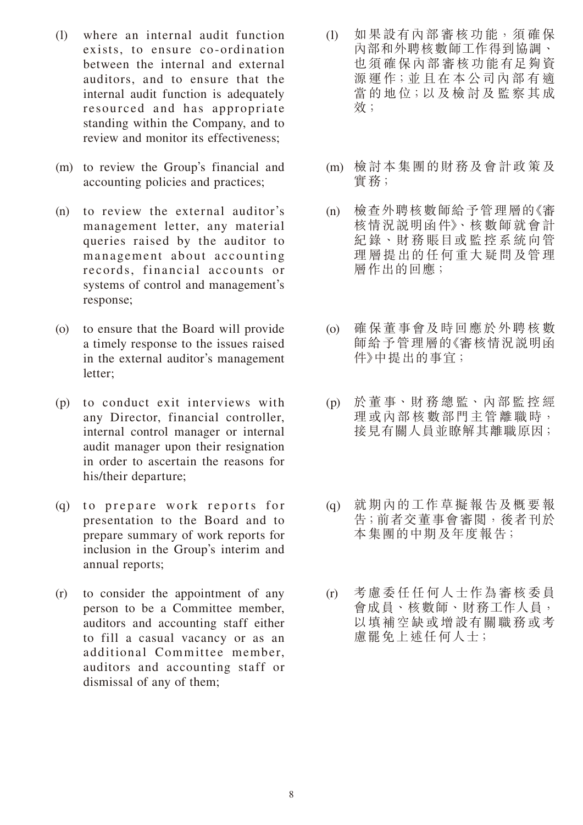- (l) where an internal audit function exists, to ensure co-ordination between the internal and external auditors, and to ensure that the internal audit function is adequately resourced and has appropriate standing within the Company, and to review and monitor its effectiveness;
- (m) to review the Group's financial and accounting policies and practices;
- (n) to review the external auditor's management letter, any material queries raised by the auditor to management about accounting records, financial accounts or systems of control and management's response;
- (o) to ensure that the Board will provide a timely response to the issues raised in the external auditor's management letter;
- (p) to conduct exit interviews with any Director, financial controller, internal control manager or internal audit manager upon their resignation in order to ascertain the reasons for his/their departure;
- (q) to prepare work reports for presentation to the Board and to prepare summary of work reports for inclusion in the Group's interim and annual reports;
- (r) to consider the appointment of any person to be a Committee member, auditors and accounting staff either to fill a casual vacancy or as an additional Committee member, auditors and accounting staff or dismissal of any of them;
- (l) 如果設有內部審核功能,須確保 內部和外聘核數師工作得到協調、 也須確保內部審核功能有足夠資 源 運作;並 且在 本 公司內 部 有 適 當的地位;以及檢討及監察其成 效;
- (m) 檢討本集團的財務及會計政策及 實務;
- (n) 檢查外聘核數師給予管理層的《審 核情況説明函件》、核數師就會計 紀錄、財務賬目或監控系統向管 理層提出的任何重大疑問及管理 層作出的回應;
- (o) 確保董事會及時回應於外聘核數 師給予管理層的《審核情況說明函 件》中提出的事宜;
- (p) 於董事、財 務總監、內部監控經 理或內部核數部門主管離職時, 接見有關人員並瞭解其離職原因;
- (q) 就期內的工作草擬報告及概要報 告;前者交董事會審閱,後者刊於 本集團的中期及年度報告;
- (r) 考慮委任任何人士作為審核委員 會成員、核數師、財務工作人員, 以填補空缺或增設有關職務或考 慮罷免上述任何人士;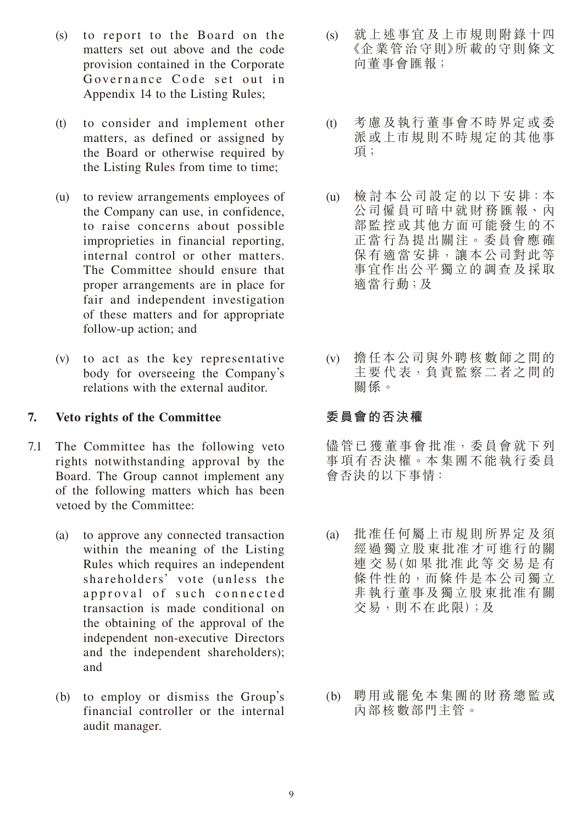- $(s)$  to report to the Board on the matters set out above and the code provision contained in the Corporate Governance Code set out in Appendix 14 to the Listing Rules;
- (t) to consider and implement other matters, as defined or assigned by the Board or otherwise required by the Listing Rules from time to time;
- (u) to review arrangements employees of the Company can use, in confidence, to raise concerns about possible improprieties in financial reporting, internal control or other matters. The Committee should ensure that proper arrangements are in place for fair and independent investigation of these matters and for appropriate follow-up action; and
- (v) to act as the key representative body for overseeing the Company's relations with the external auditor.

#### **7. Veto rights of the Committee**

- 7.1 The Committee has the following veto rights notwithstanding approval by the Board. The Group cannot implement any of the following matters which has been vetoed by the Committee:
	- (a) to approve any connected transaction within the meaning of the Listing Rules which requires an independent shareholders' vote (unless the approval of such connected transaction is made conditional on the obtaining of the approval of the independent non-executive Directors and the independent shareholders); and
	- (b) to employ or dismiss the Group's financial controller or the internal audit manager.
- (s) 就上述事宜及上市規則附錄十四 《企業管治守則》所載的守則條文 向董事會匯報;
- (t) 考慮及執行董事會不時界定或委 派或上市規則不時規定的其他事 項;
- (u) 檢 討 本 公司設 定 的以下安 排:本 公司僱員可暗中就財務匯報、內 部監控或其他方面可能發生的不 正當行為提出關注。委員會應確 保有適當安排,讓本公司對此等 事宜作出公平獨立的調查及採取 適當行動;及
- (v) 擔任本公司與外聘核數師之間的 主要代表,負責監察二者之間的 關係。

## **委員會的否決權**

儘管已獲董事會批准,委員會就下列 事項有否決權。本集團不能執行委員 會否決的以下事情:

- (a) 批准任何屬上市規則所界定及須 經過獨立股東批准才可進行的關 連 交 易(如 果 批 准 此 等 交 易 是 有 條件性的,而條件是本公司獨立 非執行董事及獨立股東批准有關 交易,則不在此限);及
- (b) 聘用或罷免本集團的財務總監或 內部核數部門主管。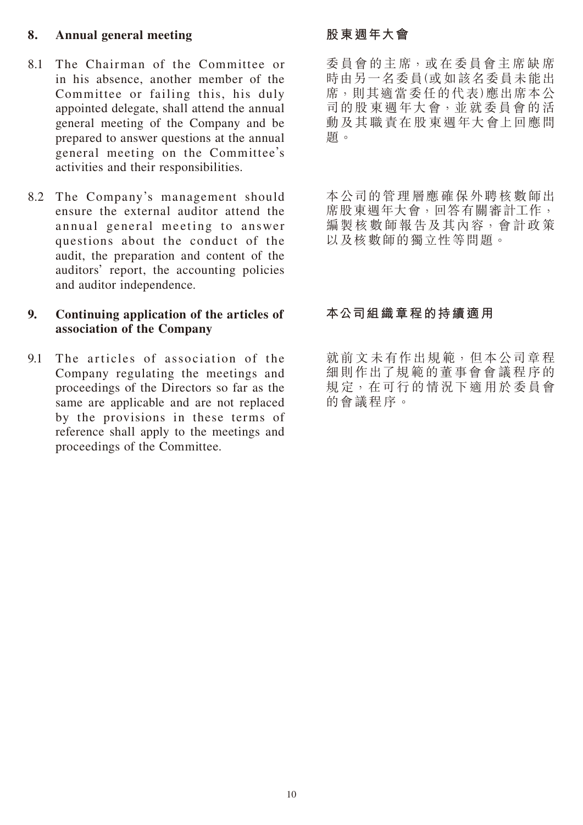#### **8. Annual general meeting**

- 8.1 The Chairman of the Committee or in his absence, another member of the Committee or failing this, his duly appointed delegate, shall attend the annual general meeting of the Company and be prepared to answer questions at the annual general meeting on the Committee's activities and their responsibilities.
- 8.2 The Company's management should ensure the external auditor attend the annual general meeting to answer questions about the conduct of the audit, the preparation and content of the auditors' report, the accounting policies and auditor independence.

#### **9. Continuing application of the articles of association of the Company**

9.1 The articles of association of the Company regulating the meetings and proceedings of the Directors so far as the same are applicable and are not replaced by the provisions in these terms of reference shall apply to the meetings and proceedings of the Committee.

## **股東週年大會**

委員會的主席,或在委員會主席缺席 時由另一名委員(或如該名委員未能出 席,則其適當委任的代表)應出席本公 司的股 東週年大會,並就委員會的活 動及其職責在股東週年大會上回應問 題。

本公司的管理層應確保外聘核數師出 席股東调年大會,回答有關審計工作, 編製核數師報告及其內容,會計政策 以及核數師的獨立性等問題。

## **本公司組織章程的持續適用**

就前文未有作出規範,但本公司章程 細則作出了規範的董事會會議程序的 規 定,在可行的情況下適用於委員會 的會議程序。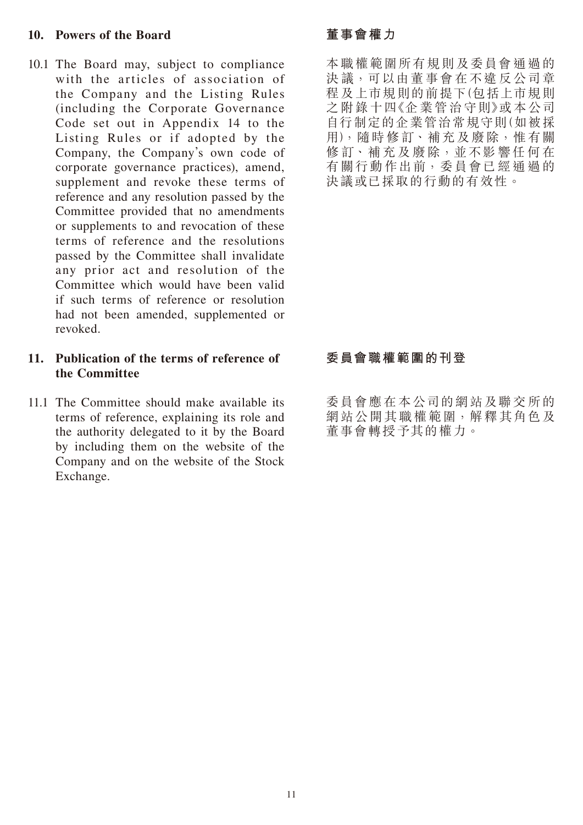#### **10. Powers of the Board**

10.1 The Board may, subject to compliance with the articles of association of the Company and the Listing Rules (including the Corporate Governance Code set out in Appendix 14 to the Listing Rules or if adopted by the Company, the Company's own code of corporate governance practices), amend, supplement and revoke these terms of reference and any resolution passed by the Committee provided that no amendments or supplements to and revocation of these terms of reference and the resolutions passed by the Committee shall invalidate any prior act and resolution of the Committee which would have been valid if such terms of reference or resolution had not been amended, supplemented or revoked.

#### **11. Publication of the terms of reference of the Committee**

11.1 The Committee should make available its terms of reference, explaining its role and the authority delegated to it by the Board by including them on the website of the Company and on the website of the Stock Exchange.

## **董事會權力**

本職權範圍所有規則及委員會通過的 決議,可以由董事會在不違反公司章 程及上市規則的前提下(包括上市規則 之附錄十四《企業管治守則》或本公司 自行制定的企業管治常規守則(如被採 用),隨時 修 訂、補充及廢除,惟有關 修訂、補充及廢除,並不影響任何在 有關行動作出前,委員會已經 通過的 決議或已採取的行動的有效性。

## **委員會職權範圍的刊登**

委員會應在本公司的網站及聯交所的 網站公開其職權範圍,解釋其角色及 董事會轉授予其的權力。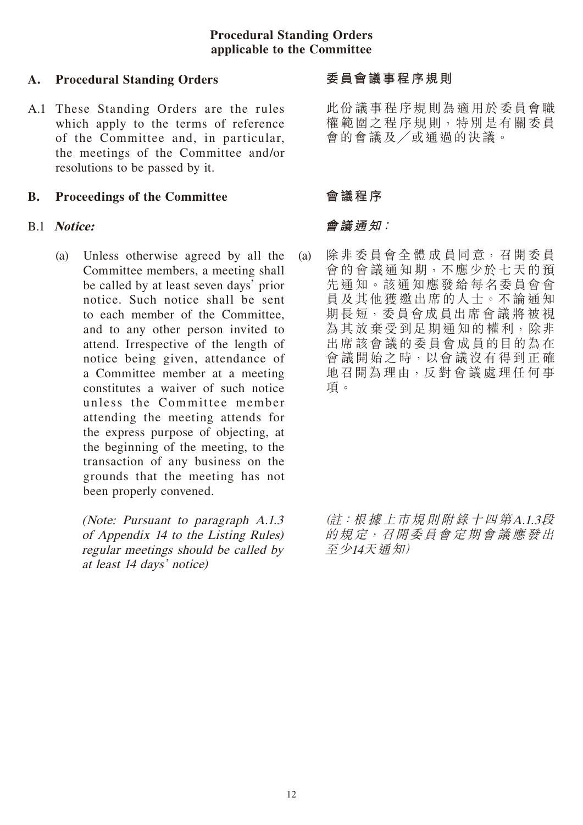#### **Procedural Standing Orders applicable to the Committee**

#### **A. Procedural Standing Orders**

A.1 These Standing Orders are the rules which apply to the terms of reference of the Committee and, in particular, the meetings of the Committee and/or resolutions to be passed by it.

#### **B. Proceedings of the Committee**

#### B.1 **Notice:**

(a) Unless otherwise agreed by all the Committee members, a meeting shall be called by at least seven days' prior notice. Such notice shall be sent to each member of the Committee, and to any other person invited to attend. Irrespective of the length of notice being given, attendance of a Committee member at a meeting constitutes a waiver of such notice unless the Committee member attending the meeting attends for the express purpose of objecting, at the beginning of the meeting, to the transaction of any business on the grounds that the meeting has not been properly convened.

> (Note: Pursuant to paragraph A.1.3 of Appendix 14 to the Listing Rules) regular meetings should be called by at least 14 days' notice)

#### **委員會議事程序規則**

此份議事程序規則為適用於委員會職 權範圍之程序規則,特別是有關委員 會的會議及╱或通過的決議。

#### **會議程序**

#### **會議通知:**

(a) 除非委員會全 體 成 員同意,召開委員 會的會議通知期,不應少於七天的預 先通知。該通知應發給每名委員會會 員及其他獲邀出席的人士。不論通知 期長短,委員會成 員出席會議 將 被 視 為其放棄受到足期通知的權利,除非 出席該會議的委員會成員的目的為在 會議開始之時,以會議沒有得到正確 地召開為理由,反對 會議 處理任何事 項。

> (註:根 據 上市規則附錄十四第A.1.3段 的規定,召開委員會定期會議 應發出 至少14天通知)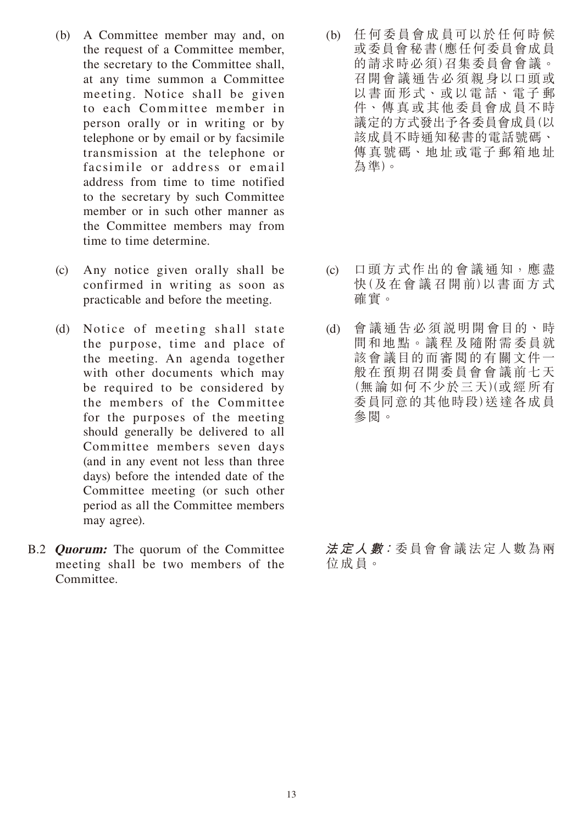- (b) A Committee member may and, on the request of a Committee member, the secretary to the Committee shall, at any time summon a Committee meeting. Notice shall be given to each Committee member in person orally or in writing or by telephone or by email or by facsimile transmission at the telephone or facsimile or address or email address from time to time notified to the secretary by such Committee member or in such other manner as the Committee members may from time to time determine.
- (c) Any notice given orally shall be confirmed in writing as soon as practicable and before the meeting.
- (d) Notice of meeting shall state the purpose, time and place of the meeting. An agenda together with other documents which may be required to be considered by the members of the Committee for the purposes of the meeting should generally be delivered to all Committee members seven days (and in any event not less than three days) before the intended date of the Committee meeting (or such other period as all the Committee members may agree).
- B.2 **Quorum:** The quorum of the Committee meeting shall be two members of the Committee.

(b) 任何委員會成員可以於任何時候 或委員會秘書(應任何委員會成員 的請求時必須)召集委員會會議。 召開會議通告必須親身以口頭或 以書面形式、或以電話、電子 郵 件、傳真或其他委員會成員不時 議定的方式發出予各委員會成員(以 該成員不時通知秘書的電話號碼、 傳真號碼、地址或電子郵箱地址 為準)。

- (c) 口頭方式作出的會議通知,應盡 快(及在會 議 召開 前)以書面 方 式 確實。
- (d) 會議通告必須說明開會目的、時 間和地點。議程及隨附需委員就 該會議目的而審閱的有關文件一 般在預期召開委員會會議前七天 (無論如何不少於三天)(或經 所有 委員同意的其他時段)送達各成員 參閱。

**法 定 人 數:**委員會會議法定人數為兩 位成員。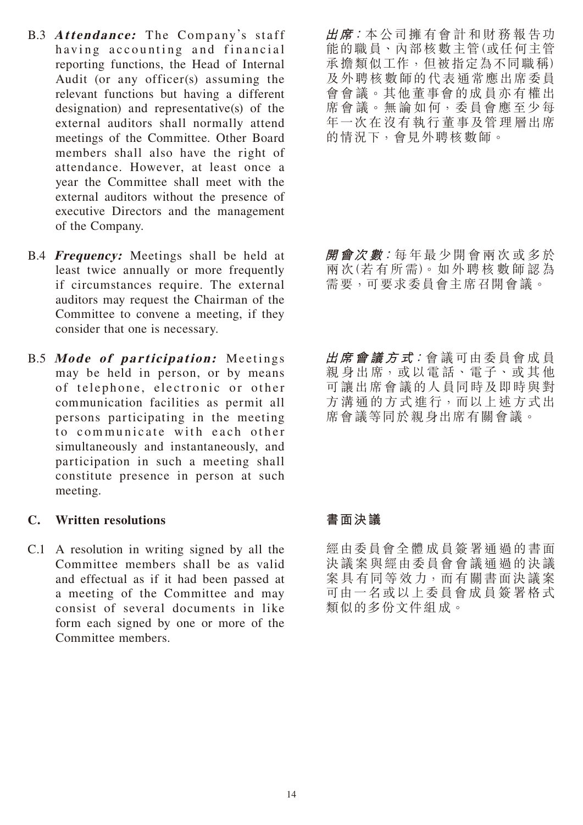- B.3 **Attendance:** The Company's staff having accounting and financial reporting functions, the Head of Internal Audit (or any officer(s) assuming the relevant functions but having a different designation) and representative(s) of the external auditors shall normally attend meetings of the Committee. Other Board members shall also have the right of attendance. However, at least once a year the Committee shall meet with the external auditors without the presence of executive Directors and the management of the Company.
- B.4 **Frequency:** Meetings shall be held at least twice annually or more frequently if circumstances require. The external auditors may request the Chairman of the Committee to convene a meeting, if they consider that one is necessary.
- B.5 **Mode of participation:** Meetings may be held in person, or by means of telephone, electronic or other communication facilities as permit all persons participating in the meeting to communicate with each other simultaneously and instantaneously, and participation in such a meeting shall constitute presence in person at such meeting.

#### **C. Written resolutions**

C.1 A resolution in writing signed by all the Committee members shall be as valid and effectual as if it had been passed at a meeting of the Committee and may consist of several documents in like form each signed by one or more of the Committee members.

**出席:**本公司擁有會計和財務報告功 能的職員、內部核數主管(或任何主管 承擔類似工作,但被指定為不同職稱) 及外聘核數師的代表通常應出席委員 會會議。其他董事會的成員亦有權出 席會議。無論如何,委員會應至少每 年一次在沒有執行董事及管理層出席 的情況下,會見外聘核數師。

**開會次 數:**每年最少開會兩次或多於 兩 次(若 有所 需)。如外聘 核 數 師 認 為 需要,可要求委員會主席召開會議。

**出席 會 議 方 式:**會議可由委員會成員 親身出席,或以電話、電子、或其他 可讓出席會議的人員同時及即時與對 方溝通的方式進行,而以上述方式出 席會議等同於親身出席有關會議。

## **書面決議**

經由委員會全體成員簽署通過的書面 決議案與經由委員會會議通過的決議 案具 有同等效力,而有關書面決議案 可由一名或以上委員會成員簽署格式 類似的多份文件組成。